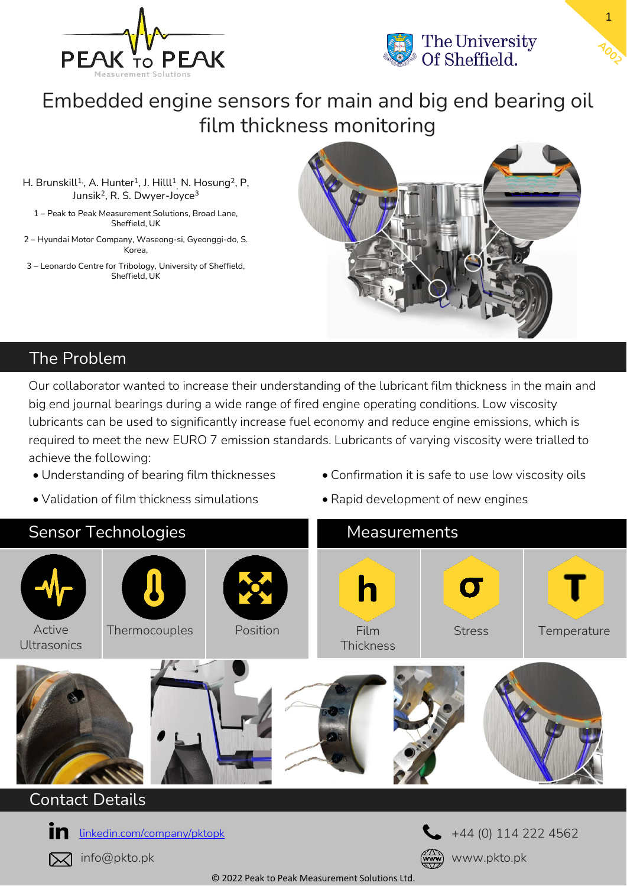



Embedded engine sensors for main and big end bearing oil film thickness monitoring

H. Brunskill $^{1}$ , A. Hunter $^{1}$ , J. Hilll $^{1}$ <sub>,</sub> N. Hosung $^{2}$ , P, Junsik<sup>2</sup>, R. S. Dwyer-Joyce<sup>3</sup>

1 – Peak to Peak Measurement Solutions, Broad Lane, Sheffield, UK

2 – Hyundai Motor Company, Waseong-si, Gyeonggi-do, S. Korea,

3 – Leonardo Centre for Tribology, University of Sheffield, Sheffield, UK



# The Problem

Our collaborator wanted to increase their understanding of the lubricant film thickness in the main and big end journal bearings during a wide range of fired engine operating conditions. Low viscosity lubricants can be used to significantly increase fuel economy and reduce engine emissions, which is required to meet the new EURO 7 emission standards. Lubricants of varying viscosity were trialled to achieve the following:

- Understanding of bearing film thicknesses
- Validation of film thickness simulations
- Confirmation it is safe to use low viscosity oils
- Rapid development of new engines



### Contact Details



info@pkto.pk